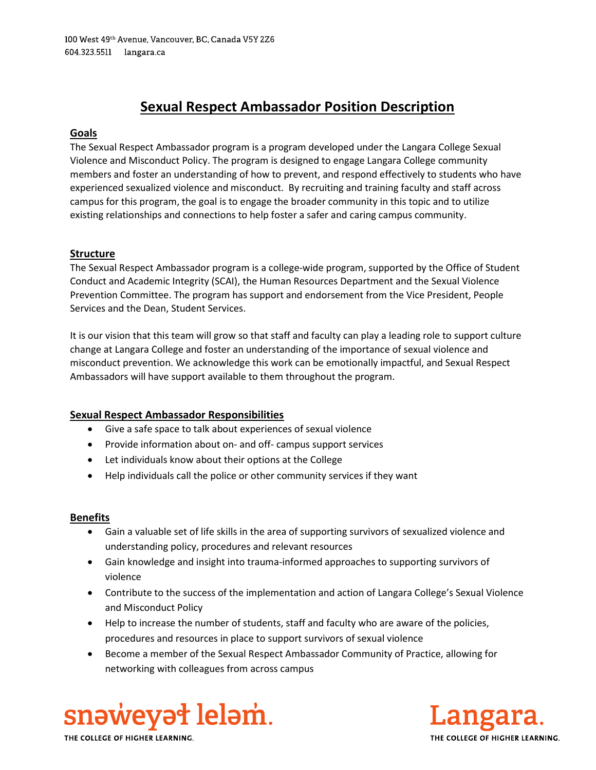# Sexual Respect Ambassador Position Description

## Goals

The Sexual Respect Ambassador program is a program developed under the Langara College Sexual Violence and Misconduct Policy. The program is designed to engage Langara College community members and foster an understanding of how to prevent, and respond effectively to students who have experienced sexualized violence and misconduct. By recruiting and training faculty and staff across campus for this program, the goal is to engage the broader community in this topic and to utilize existing relationships and connections to help foster a safer and caring campus community.

## Structure

The Sexual Respect Ambassador program is a college-wide program, supported by the Office of Student Conduct and Academic Integrity (SCAI), the Human Resources Department and the Sexual Violence Prevention Committee. The program has support and endorsement from the Vice President, People Services and the Dean, Student Services.

It is our vision that this team will grow so that staff and faculty can play a leading role to support culture change at Langara College and foster an understanding of the importance of sexual violence and misconduct prevention. We acknowledge this work can be emotionally impactful, and Sexual Respect Ambassadors will have support available to them throughout the program.

## Sexual Respect Ambassador Responsibilities

- Give a safe space to talk about experiences of sexual violence
- Provide information about on- and off- campus support services
- Let individuals know about their options at the College
- Help individuals call the police or other community services if they want

#### Benefits

- Gain a valuable set of life skills in the area of supporting survivors of sexualized violence and understanding policy, procedures and relevant resources
- Gain knowledge and insight into trauma-informed approaches to supporting survivors of violence
- Contribute to the success of the implementation and action of Langara College's Sexual Violence and Misconduct Policy
- Help to increase the number of students, staff and faculty who are aware of the policies, procedures and resources in place to support survivors of sexual violence
- Become a member of the Sexual Respect Ambassador Community of Practice, allowing for networking with colleagues from across campus





THE COLLEGE OF HIGHER LEARNING.